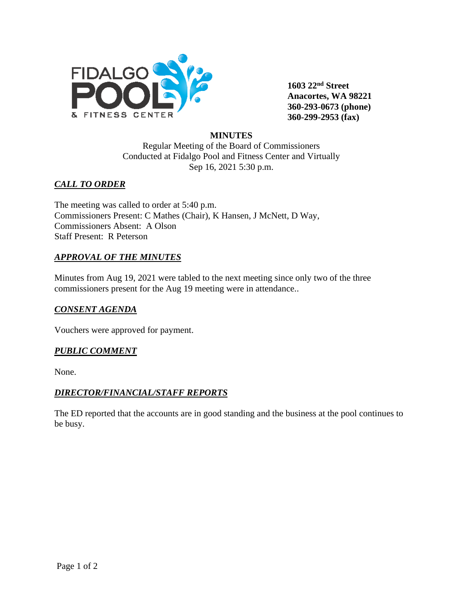

**1603 22nd Street Anacortes, WA 98221 360-293-0673 (phone) 360-299-2953 (fax)**

# **MINUTES**

Regular Meeting of the Board of Commissioners Conducted at Fidalgo Pool and Fitness Center and Virtually Sep 16, 2021 5:30 p.m.

## *CALL TO ORDER*

The meeting was called to order at 5:40 p.m. Commissioners Present: C Mathes (Chair), K Hansen, J McNett, D Way, Commissioners Absent: A Olson Staff Present: R Peterson

## *APPROVAL OF THE MINUTES*

Minutes from Aug 19, 2021 were tabled to the next meeting since only two of the three commissioners present for the Aug 19 meeting were in attendance..

### *CONSENT AGENDA*

Vouchers were approved for payment.

### *PUBLIC COMMENT*

None.

### *DIRECTOR/FINANCIAL/STAFF REPORTS*

The ED reported that the accounts are in good standing and the business at the pool continues to be busy.